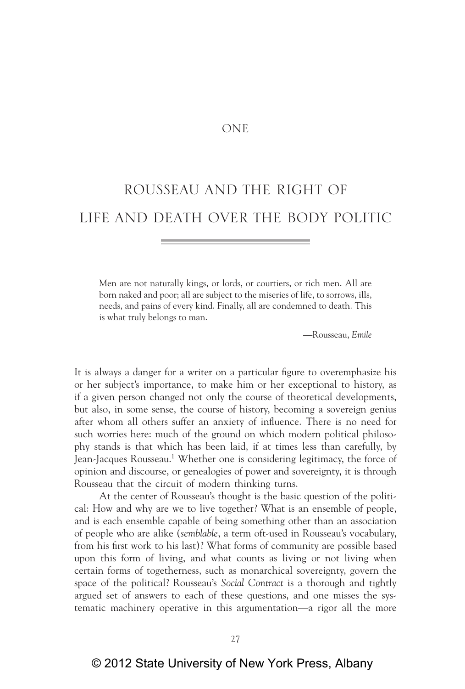## ONE

# Rousseau and the Right of Life and Death over the Body Politic

Men are not naturally kings, or lords, or courtiers, or rich men. All are born naked and poor; all are subject to the miseries of life, to sorrows, ills, needs, and pains of every kind. Finally, all are condemned to death. This is what truly belongs to man.

—Rousseau, *Emile*

It is always a danger for a writer on a particular figure to overemphasize his or her subject's importance, to make him or her exceptional to history, as if a given person changed not only the course of theoretical developments, but also, in some sense, the course of history, becoming a sovereign genius after whom all others suffer an anxiety of influence. There is no need for such worries here: much of the ground on which modern political philosophy stands is that which has been laid, if at times less than carefully, by Jean-Jacques Rousseau.<sup>1</sup> Whether one is considering legitimacy, the force of opinion and discourse, or genealogies of power and sovereignty, it is through Rousseau that the circuit of modern thinking turns.

At the center of Rousseau's thought is the basic question of the political: How and why are we to live together? What is an ensemble of people, and is each ensemble capable of being something other than an association of people who are alike (*semblable*, a term oft‑used in Rousseau's vocabulary, from his first work to his last)? What forms of community are possible based upon this form of living, and what counts as living or not living when certain forms of togetherness, such as monarchical sovereignty, govern the space of the political? Rousseau's *Social Contract* is a thorough and tightly argued set of answers to each of these questions, and one misses the systematic machinery operative in this argumentation—a rigor all the more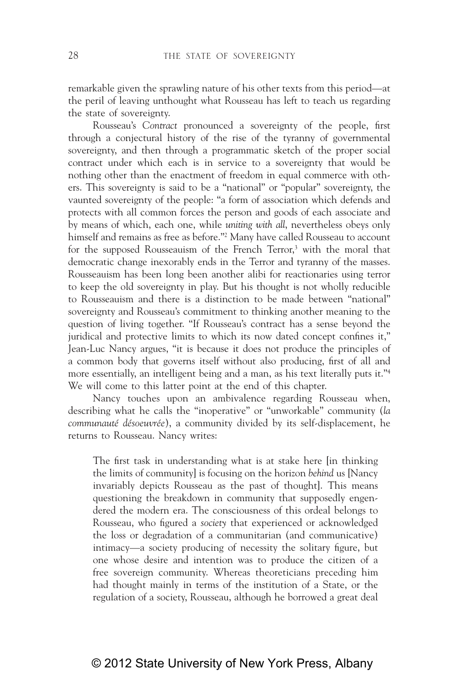remarkable given the sprawling nature of his other texts from this period—at the peril of leaving unthought what Rousseau has left to teach us regarding the state of sovereignty.

Rousseau's *Contract* pronounced a sovereignty of the people, first through a conjectural history of the rise of the tyranny of governmental sovereignty, and then through a programmatic sketch of the proper social contract under which each is in service to a sovereignty that would be nothing other than the enactment of freedom in equal commerce with others. This sovereignty is said to be a "national" or "popular" sovereignty, the vaunted sovereignty of the people: "a form of association which defends and protects with all common forces the person and goods of each associate and by means of which, each one, while *uniting with all*, nevertheless obeys only himself and remains as free as before."2 Many have called Rousseau to account for the supposed Rousseauism of the French Terror,<sup>3</sup> with the moral that democratic change inexorably ends in the Terror and tyranny of the masses. Rousseauism has been long been another alibi for reactionaries using terror to keep the old sovereignty in play. But his thought is not wholly reducible to Rousseauism and there is a distinction to be made between "national" sovereignty and Rousseau's commitment to thinking another meaning to the question of living together. "If Rousseau's contract has a sense beyond the juridical and protective limits to which its now dated concept confines it," Jean‑Luc Nancy argues, "it is because it does not produce the principles of a common body that governs itself without also producing, first of all and more essentially, an intelligent being and a man, as his text literally puts it."4 We will come to this latter point at the end of this chapter.

Nancy touches upon an ambivalence regarding Rousseau when, describing what he calls the "inoperative" or "unworkable" community (*la communauté désoeuvrée*), a community divided by its self‑displacement, he returns to Rousseau. Nancy writes:

The first task in understanding what is at stake here [in thinking the limits of community] is focusing on the horizon *behind* us [Nancy invariably depicts Rousseau as the past of thought]. This means questioning the breakdown in community that supposedly engendered the modern era. The consciousness of this ordeal belongs to Rousseau, who figured a *society* that experienced or acknowledged the loss or degradation of a communitarian (and communicative) intimacy—a society producing of necessity the solitary figure, but one whose desire and intention was to produce the citizen of a free sovereign community. Whereas theoreticians preceding him had thought mainly in terms of the institution of a State, or the regulation of a society, Rousseau, although he borrowed a great deal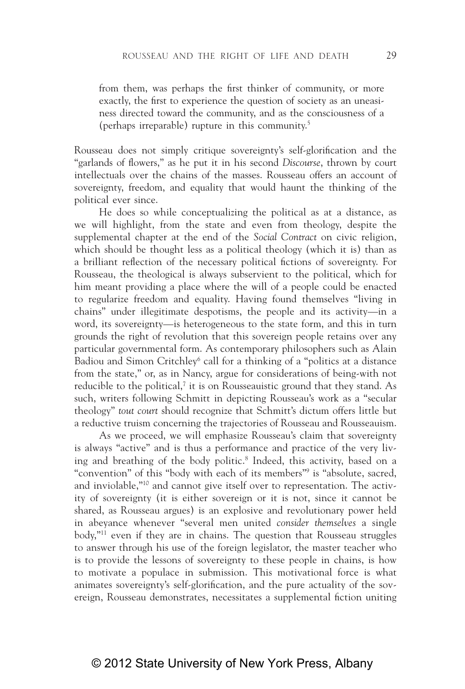from them, was perhaps the first thinker of community, or more exactly, the first to experience the question of society as an uneasiness directed toward the community, and as the consciousness of a (perhaps irreparable) rupture in this community.5

Rousseau does not simply critique sovereignty's self‑glorification and the "garlands of flowers," as he put it in his second *Discourse*, thrown by court intellectuals over the chains of the masses. Rousseau offers an account of sovereignty, freedom, and equality that would haunt the thinking of the political ever since.

He does so while conceptualizing the political as at a distance, as we will highlight, from the state and even from theology, despite the supplemental chapter at the end of the *Social Contract* on civic religion, which should be thought less as a political theology (which it is) than as a brilliant reflection of the necessary political fictions of sovereignty. For Rousseau, the theological is always subservient to the political, which for him meant providing a place where the will of a people could be enacted to regularize freedom and equality. Having found themselves "living in chains" under illegitimate despotisms, the people and its activity—in a word, its sovereignty—is heterogeneous to the state form, and this in turn grounds the right of revolution that this sovereign people retains over any particular governmental form. As contemporary philosophers such as Alain Badiou and Simon Critchley<sup>6</sup> call for a thinking of a "politics at a distance from the state," or, as in Nancy, argue for considerations of being-with not reducible to the political,<sup>7</sup> it is on Rousseauistic ground that they stand. As such, writers following Schmitt in depicting Rousseau's work as a "secular theology" *tout court* should recognize that Schmitt's dictum offers little but a reductive truism concerning the trajectories of Rousseau and Rousseauism.

As we proceed, we will emphasize Rousseau's claim that sovereignty is always "active" and is thus a performance and practice of the very living and breathing of the body politic.8 Indeed, this activity, based on a "convention" of this "body with each of its members"<sup>9</sup> is "absolute, sacred, and inviolable,"<sup>10</sup> and cannot give itself over to representation. The activity of sovereignty (it is either sovereign or it is not, since it cannot be shared, as Rousseau argues) is an explosive and revolutionary power held in abeyance whenever "several men united *consider themselves* a single body,"11 even if they are in chains. The question that Rousseau struggles to answer through his use of the foreign legislator, the master teacher who is to provide the lessons of sovereignty to these people in chains, is how to motivate a populace in submission. This motivational force is what animates sovereignty's self-glorification, and the pure actuality of the sovereign, Rousseau demonstrates, necessitates a supplemental fiction uniting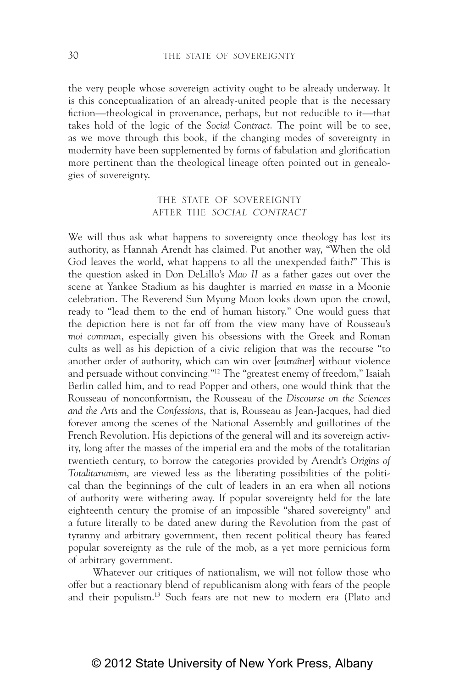the very people whose sovereign activity ought to be already underway. It is this conceptualization of an already‑united people that is the necessary fiction—theological in provenance, perhaps, but not reducible to it—that takes hold of the logic of the *Social Contract*. The point will be to see, as we move through this book, if the changing modes of sovereignty in modernity have been supplemented by forms of fabulation and glorification more pertinent than the theological lineage often pointed out in genealogies of sovereignty.

#### THE STATE OF SOVEREIGNTY after the Social Contract

We will thus ask what happens to sovereignty once theology has lost its authority, as Hannah Arendt has claimed. Put another way, "When the old God leaves the world, what happens to all the unexpended faith?" This is the question asked in Don DeLillo's *Mao II* as a father gazes out over the scene at Yankee Stadium as his daughter is married *en masse* in a Moonie celebration. The Reverend Sun Myung Moon looks down upon the crowd, ready to "lead them to the end of human history." One would guess that the depiction here is not far off from the view many have of Rousseau's *moi commun*, especially given his obsessions with the Greek and Roman cults as well as his depiction of a civic religion that was the recourse "to another order of authority, which can win over [*entraîner*] without violence and persuade without convincing."12 The "greatest enemy of freedom," Isaiah Berlin called him, and to read Popper and others, one would think that the Rousseau of nonconformism, the Rousseau of the *Discourse on the Sciences and the Arts* and the *Confessions*, that is, Rousseau as Jean‑Jacques, had died forever among the scenes of the National Assembly and guillotines of the French Revolution. His depictions of the general will and its sovereign activity, long after the masses of the imperial era and the mobs of the totalitarian twentieth century, to borrow the categories provided by Arendt's *Origins of Totalitarianism*, are viewed less as the liberating possibilities of the political than the beginnings of the cult of leaders in an era when all notions of authority were withering away. If popular sovereignty held for the late eighteenth century the promise of an impossible "shared sovereignty" and a future literally to be dated anew during the Revolution from the past of tyranny and arbitrary government, then recent political theory has feared popular sovereignty as the rule of the mob, as a yet more pernicious form of arbitrary government.

Whatever our critiques of nationalism, we will not follow those who offer but a reactionary blend of republicanism along with fears of the people and their populism.13 Such fears are not new to modern era (Plato and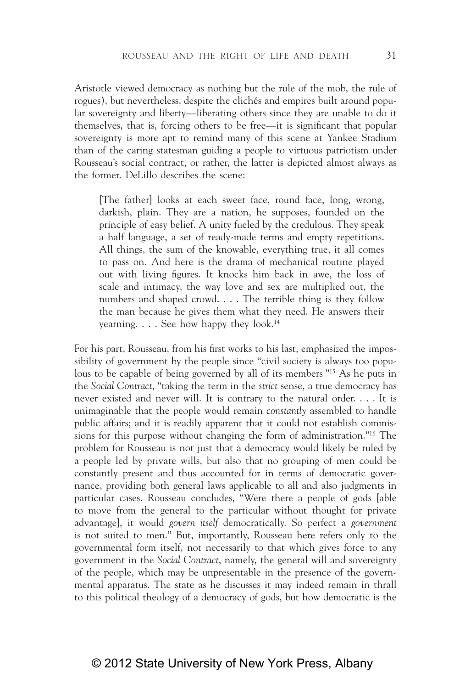Aristotle viewed democracy as nothing but the rule of the mob, the rule of rogues), but nevertheless, despite the clichés and empires built around popular sovereignty and liberty—liberating others since they are unable to do it themselves, that is, forcing others to be free—it is significant that popular sovereignty is more apt to remind many of this scene at Yankee Stadium than of the caring statesman guiding a people to virtuous patriotism under Rousseau's social contract, or rather, the latter is depicted almost always as the former. DeLillo describes the scene:

[The father] looks at each sweet face, round face, long, wrong, darkish, plain. They are a nation, he supposes, founded on the principle of easy belief. A unity fueled by the credulous. They speak a half language, a set of ready‑made terms and empty repetitions. All things, the sum of the knowable, everything true, it all comes to pass on. And here is the drama of mechanical routine played out with living figures. It knocks him back in awe, the loss of scale and intimacy, the way love and sex are multiplied out, the numbers and shaped crowd. . . . The terrible thing is they follow the man because he gives them what they need. He answers their yearning.  $\ldots$  See how happy they look.<sup>14</sup>

For his part, Rousseau, from his first works to his last, emphasized the impossibility of government by the people since "civil society is always too populous to be capable of being governed by all of its members."15 As he puts in the *Social Contract*, "taking the term in the *strict* sense, a true democracy has never existed and never will. It is contrary to the natural order. . . . It is unimaginable that the people would remain *constantly* assembled to handle public affairs; and it is readily apparent that it could not establish commissions for this purpose without changing the form of administration."16 The problem for Rousseau is not just that a democracy would likely be ruled by a people led by private wills, but also that no grouping of men could be constantly present and thus accounted for in terms of democratic governance, providing both general laws applicable to all and also judgments in particular cases. Rousseau concludes, "Were there a people of gods [able to move from the general to the particular without thought for private advantage], it would *govern itself* democratically. So perfect a *government* is not suited to men." But, importantly, Rousseau here refers only to the governmental form itself, not necessarily to that which gives force to any government in the *Social Contract*, namely, the general will and sovereignty of the people, which may be unpresentable in the presence of the governmental apparatus. The state as he discusses it may indeed remain in thrall to this political theology of a democracy of gods, but how democratic is the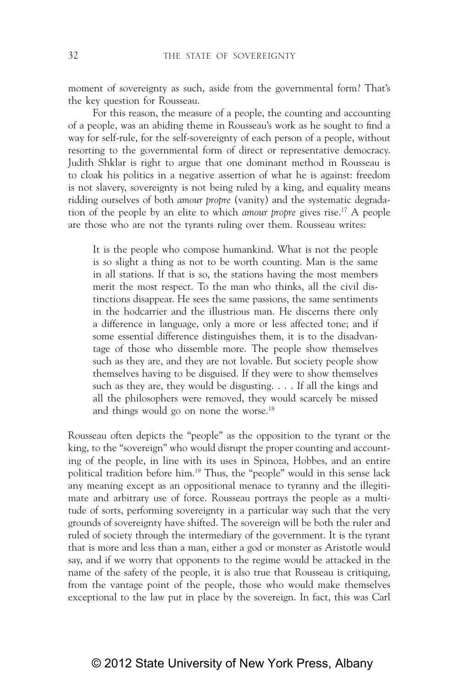moment of sovereignty as such, aside from the governmental form? That's the key question for Rousseau.

For this reason, the measure of a people, the counting and accounting of a people, was an abiding theme in Rousseau's work as he sought to find a way for self-rule, for the self-sovereignty of each person of a people, without resorting to the governmental form of direct or representative democracy. Judith Shklar is right to argue that one dominant method in Rousseau is to cloak his politics in a negative assertion of what he is against: freedom is not slavery, sovereignty is not being ruled by a king, and equality means ridding ourselves of both *amour propre* (vanity) and the systematic degrada‑ tion of the people by an elite to which *amour propre* gives rise.17 A people are those who are not the tyrants ruling over them. Rousseau writes:

It is the people who compose humankind. What is not the people is so slight a thing as not to be worth counting. Man is the same in all stations. If that is so, the stations having the most members merit the most respect. To the man who thinks, all the civil distinctions disappear. He sees the same passions, the same sentiments in the hodcarrier and the illustrious man. He discerns there only a difference in language, only a more or less affected tone; and if some essential difference distinguishes them, it is to the disadvantage of those who dissemble more. The people show themselves such as they are, and they are not lovable. But society people show themselves having to be disguised. If they were to show themselves such as they are, they would be disgusting. . . . If all the kings and all the philosophers were removed, they would scarcely be missed and things would go on none the worse.<sup>18</sup>

Rousseau often depicts the "people" as the opposition to the tyrant or the king, to the "sovereign" who would disrupt the proper counting and accounting of the people, in line with its uses in Spinoza, Hobbes, and an entire political tradition before him.<sup>19</sup> Thus, the "people" would in this sense lack any meaning except as an oppositional menace to tyranny and the illegitimate and arbitrary use of force. Rousseau portrays the people as a multitude of sorts, performing sovereignty in a particular way such that the very grounds of sovereignty have shifted. The sovereign will be both the ruler and ruled of society through the intermediary of the government. It is the tyrant that is more and less than a man, either a god or monster as Aristotle would say, and if we worry that opponents to the regime would be attacked in the name of the safety of the people, it is also true that Rousseau is critiquing, from the vantage point of the people, those who would make themselves exceptional to the law put in place by the sovereign. In fact, this was Carl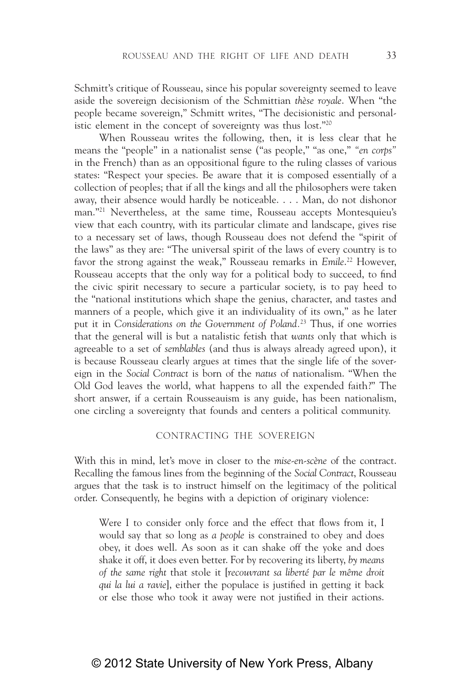Schmitt's critique of Rousseau, since his popular sovereignty seemed to leave aside the sovereign decisionism of the Schmittian *thèse royale*. When "the people became sovereign," Schmitt writes, "The decisionistic and personalistic element in the concept of sovereignty was thus lost."20

When Rousseau writes the following, then, it is less clear that he means the "people" in a nationalist sense ("as people," "as one," *"en corps"* in the French) than as an oppositional figure to the ruling classes of various states: "Respect your species. Be aware that it is composed essentially of a collection of peoples; that if all the kings and all the philosophers were taken away, their absence would hardly be noticeable. . . . Man, do not dishonor man."21 Nevertheless, at the same time, Rousseau accepts Montesquieu's view that each country, with its particular climate and landscape, gives rise to a necessary set of laws, though Rousseau does not defend the "spirit of the laws" as they are: "The universal spirit of the laws of every country is to favor the strong against the weak," Rousseau remarks in *Emile*. 22 However, Rousseau accepts that the only way for a political body to succeed, to find the civic spirit necessary to secure a particular society, is to pay heed to the "national institutions which shape the genius, character, and tastes and manners of a people, which give it an individuality of its own," as he later put it in *Considerations on the Government of Poland.*<sup>23</sup> Thus, if one worries that the general will is but a natalistic fetish that *wants* only that which is agreeable to a set of *semblables* (and thus is always already agreed upon), it is because Rousseau clearly argues at times that the single life of the sovereign in the *Social Contract* is born of the *natus* of nationalism. "When the Old God leaves the world, what happens to all the expended faith?" The short answer, if a certain Rousseauism is any guide, has been nationalism, one circling a sovereignty that founds and centers a political community.

#### Contracting the Sovereign

With this in mind, let's move in closer to the *mise‑en‑scène* of the contract. Recalling the famous lines from the beginning of the *Social Contract*, Rousseau argues that the task is to instruct himself on the legitimacy of the political order. Consequently, he begins with a depiction of originary violence:

Were I to consider only force and the effect that flows from it, I would say that so long as *a people* is constrained to obey and does obey, it does well. As soon as it can shake off the yoke and does shake it off, it does even better. For by recovering its liberty, *by means of the same right* that stole it [*recouvrant sa liberté par le même droit qui la lui a ravie*], either the populace is justified in getting it back or else those who took it away were not justified in their actions.

#### 33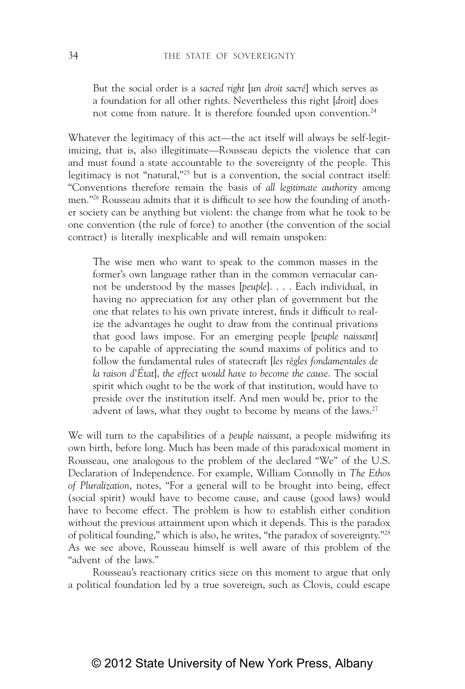But the social order is a *sacred right* [*un droit sacré*] which serves as a foundation for all other rights. Nevertheless this right [*droit*] does not come from nature. It is therefore founded upon convention.<sup>24</sup>

Whatever the legitimacy of this act—the act itself will always be self-legitimizing, that is, also illegitimate—Rousseau depicts the violence that can and must found a state accountable to the sovereignty of the people. This legitimacy is not "natural,"25 but is a convention, the social contract itself: "Conventions therefore remain the basis of *all legitimate authority* among men."<sup>26</sup> Rousseau admits that it is difficult to see how the founding of another society can be anything but violent: the change from what he took to be one convention (the rule of force) to another (the convention of the social contract) is literally inexplicable and will remain unspoken:

The wise men who want to speak to the common masses in the former's own language rather than in the common vernacular cannot be understood by the masses [*peuple*]. . . . Each individual, in having no appreciation for any other plan of government but the one that relates to his own private interest, finds it difficult to real‑ ize the advantages he ought to draw from the continual privations that good laws impose. For an emerging people [*peuple naissant*] to be capable of appreciating the sound maxims of politics and to follow the fundamental rules of statecraft [*les règles fondamentales de la raison d'État*], *the effect would have to become the cause*. The social spirit which ought to be the work of that institution, would have to preside over the institution itself. And men would be, prior to the advent of laws, what they ought to become by means of the laws.<sup>27</sup>

We will turn to the capabilities of a *peuple naissant*, a people midwifing its own birth, before long. Much has been made of this paradoxical moment in Rousseau, one analogous to the problem of the declared "We" of the U.S. Declaration of Independence. For example, William Connolly in *The Ethos of Pluralization*, notes, "For a general will to be brought into being, effect (social spirit) would have to become cause, and cause (good laws) would have to become effect. The problem is how to establish either condition without the previous attainment upon which it depends. This is the paradox of political founding," which is also, he writes, "the paradox of sovereignty."28 As we see above, Rousseau himself is well aware of this problem of the "advent of the laws."

Rousseau's reactionary critics sieze on this moment to argue that only a political foundation led by a true sovereign, such as Clovis, could escape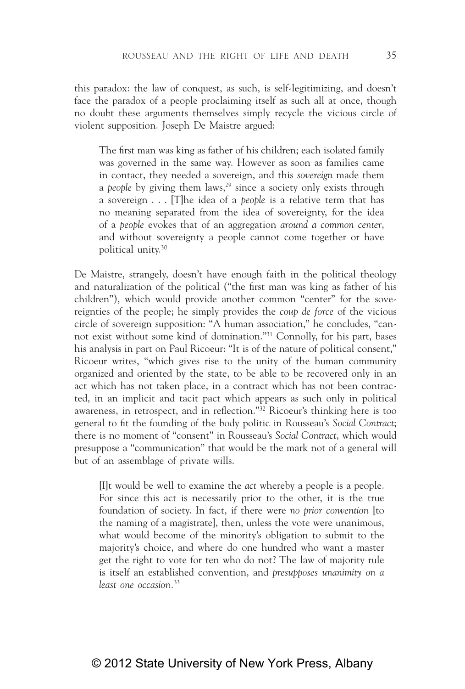this paradox: the law of conquest, as such, is self‑legitimizing, and doesn't face the paradox of a people proclaiming itself as such all at once, though no doubt these arguments themselves simply recycle the vicious circle of violent supposition. Joseph De Maistre argued:

The first man was king as father of his children; each isolated family was governed in the same way. However as soon as families came in contact, they needed a sovereign, and this *sovereign* made them a *people* by giving them laws,<sup>29</sup> since a society only exists through a sovereign . . . [T]he idea of a *people* is a relative term that has no meaning separated from the idea of sovereignty, for the idea of a *people* evokes that of an aggregation *around a common center*, and without sovereignty a people cannot come together or have political unity.30

De Maistre, strangely, doesn't have enough faith in the political theology and naturalization of the political ("the first man was king as father of his children"), which would provide another common "center" for the sovereignties of the people; he simply provides the *coup de force* of the vicious circle of sovereign supposition: "A human association," he concludes, "cannot exist without some kind of domination."31 Connolly, for his part, bases his analysis in part on Paul Ricoeur: "It is of the nature of political consent," Ricoeur writes, "which gives rise to the unity of the human community organized and oriented by the state, to be able to be recovered only in an act which has not taken place, in a contract which has not been contracted, in an implicit and tacit pact which appears as such only in political awareness, in retrospect, and in reflection."32 Ricoeur's thinking here is too general to fit the founding of the body politic in Rousseau's *Social Contract*; there is no moment of "consent" in Rousseau's *Social Contract*, which would presuppose a "communication" that would be the mark not of a general will but of an assemblage of private wills.

[I]t would be well to examine the *act* whereby a people is a people. For since this act is necessarily prior to the other, it is the true foundation of society. In fact, if there were *no prior convention* [to the naming of a magistrate], then, unless the vote were unanimous, what would become of the minority's obligation to submit to the majority's choice, and where do one hundred who want a master get the right to vote for ten who do not? The law of majority rule is itself an established convention, and *presupposes unanimity on a least one occasion.*<sup>33</sup>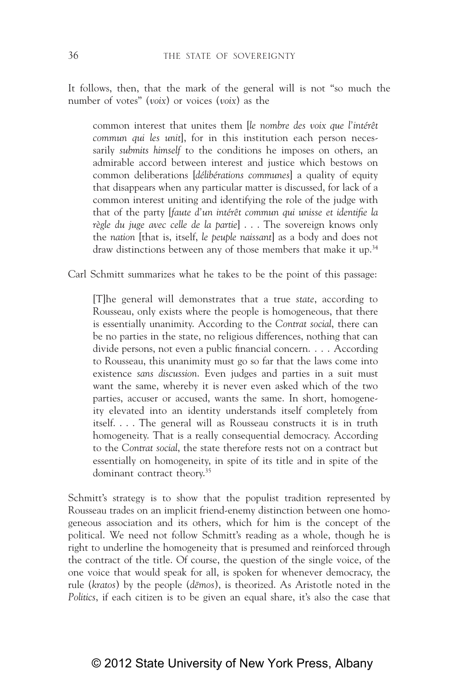It follows, then, that the mark of the general will is not "so much the number of votes" (*voix*) or voices (*voix*) as the

common interest that unites them [*le nombre des voix que l'intérêt commun qui les unit*], for in this institution each person neces‑ sarily *submits himself* to the conditions he imposes on others, an admirable accord between interest and justice which bestows on common deliberations [*délibérations communes*] a quality of equity that disappears when any particular matter is discussed, for lack of a common interest uniting and identifying the role of the judge with that of the party [*faute d'un intérêt commun qui unisse et identifie la règle du juge avec celle de la partie*] . . . The sovereign knows only the *nation* [that is, itself, *le peuple naissant*] as a body and does not draw distinctions between any of those members that make it up.<sup>34</sup>

Carl Schmitt summarizes what he takes to be the point of this passage:

[T]he general will demonstrates that a true *state*, according to Rousseau, only exists where the people is homogeneous, that there is essentially unanimity. According to the *Contrat social*, there can be no parties in the state, no religious differences, nothing that can divide persons, not even a public financial concern. . . . According to Rousseau, this unanimity must go so far that the laws come into existence *sans discussion*. Even judges and parties in a suit must want the same, whereby it is never even asked which of the two parties, accuser or accused, wants the same. In short, homogeneity elevated into an identity understands itself completely from itself. . . . The general will as Rousseau constructs it is in truth homogeneity. That is a really consequential democracy. According to the *Contrat social*, the state therefore rests not on a contract but essentially on homogeneity, in spite of its title and in spite of the dominant contract theory.<sup>35</sup>

Schmitt's strategy is to show that the populist tradition represented by Rousseau trades on an implicit friend-enemy distinction between one homogeneous association and its others, which for him is the concept of the political. We need not follow Schmitt's reading as a whole, though he is right to underline the homogeneity that is presumed and reinforced through the contract of the title. Of course, the question of the single voice, of the one voice that would speak for all, is spoken for whenever democracy, the rule (kratos) by the people (dēmos), is theorized. As Aristotle noted in the *Politics*, if each citizen is to be given an equal share, it's also the case that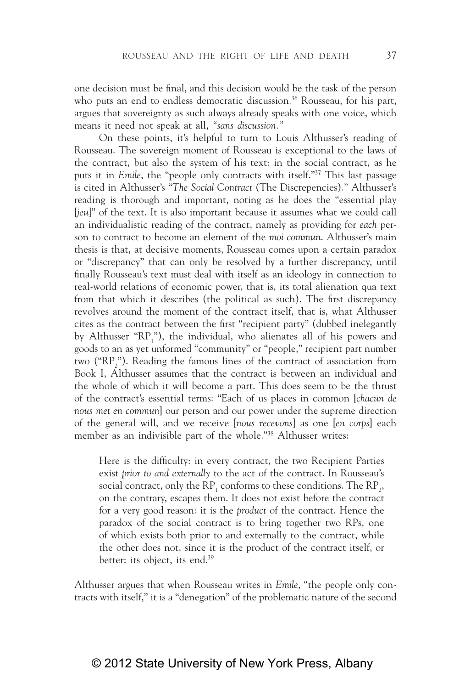one decision must be final, and this decision would be the task of the person who puts an end to endless democratic discussion.<sup>36</sup> Rousseau, for his part, argues that sovereignty as such always already speaks with one voice, which means it need not speak at all, *"sans discussion."*

On these points, it's helpful to turn to Louis Althusser's reading of Rousseau. The sovereign moment of Rousseau is exceptional to the laws of the contract, but also the system of his text: in the social contract, as he puts it in *Emile*, the "people only contracts with itself."37 This last passage is cited in Althusser's "*The Social Contract* (The Discrepencies)." Althusser's reading is thorough and important, noting as he does the "essential play [*jeu*]" of the text. It is also important because it assumes what we could call an individualistic reading of the contract, namely as providing for *each* per‑ son to contract to become an element of the *moi commun*. Althusser's main thesis is that, at decisive moments, Rousseau comes upon a certain paradox or "discrepancy" that can only be resolved by a further discrepancy, until finally Rousseau's text must deal with itself as an ideology in connection to real‑world relations of economic power, that is, its total alienation qua text from that which it describes (the political as such). The first discrepancy revolves around the moment of the contract itself, that is, what Althusser cites as the contract between the first "recipient party" (dubbed inelegantly by Althusser "RP<sub>1</sub>"), the individual, who alienates all of his powers and goods to an as yet unformed "community" or "people," recipient part number two ("RP<sub>2</sub>"). Reading the famous lines of the contract of association from Book I, Althusser assumes that the contract is between an individual and the whole of which it will become a part. This does seem to be the thrust of the contract's essential terms: "Each of us places in common [*chacun de nous met en commun*] our person and our power under the supreme direction of the general will, and we receive [*nous recevons*] as one [*en corps*] each member as an indivisible part of the whole."38 Althusser writes:

Here is the difficulty: in every contract, the two Recipient Parties exist *prior to and externally* to the act of the contract. In Rousseau's social contract, only the  $\mathsf{RP}_1$  conforms to these conditions. The  $\mathsf{RP}_2$ , on the contrary, escapes them. It does not exist before the contract for a very good reason: it is the *product* of the contract. Hence the paradox of the social contract is to bring together two RPs, one of which exists both prior to and externally to the contract, while the other does not, since it is the product of the contract itself, or better: its object, its end.39

Althusser argues that when Rousseau writes in *Emile*, "the people only contracts with itself," it is a "denegation" of the problematic nature of the second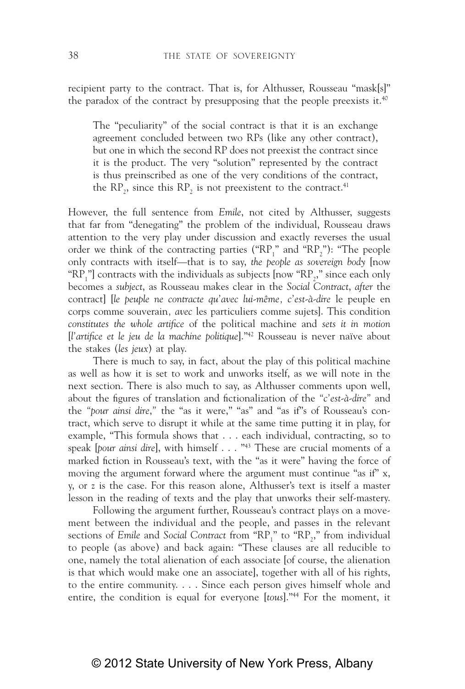recipient party to the contract. That is, for Althusser, Rousseau "mask[s]" the paradox of the contract by presupposing that the people preexists it.<sup>40</sup>

The "peculiarity" of the social contract is that it is an exchange agreement concluded between two RPs (like any other contract), but one in which the second RP does not preexist the contract since it is the product. The very "solution" represented by the contract is thus preinscribed as one of the very conditions of the contract, the  $RP_2$ , since this  $RP_2$  is not preexistent to the contract.<sup>41</sup>

However, the full sentence from *Emile*, not cited by Althusser, suggests that far from "denegating" the problem of the individual, Rousseau draws attention to the very play under discussion and exactly reverses the usual order we think of the contracting parties (" $RP_1$ " and " $RP_2$ "): "The people only contracts with itself—that is to say, *the people as sovereign body* [now " $RP_1$ "] contracts with the individuals as subjects [now " $RP_2$ ," since each only becomes a *subject*, as Rousseau makes clear in the *Social Contract*, *after* the contract] [*le peuple ne contracte qu'avec lui‑même, c'est‑à‑dire* le peuple en corps comme souverain*, avec* les particuliers comme sujets]. This condition *constitutes the whole artifice* of the political machine and *sets it in motion* [*l'artifice et le jeu de la machine politique*]."42 Rousseau is never naïve about the stakes (*les jeux*) at play.

There is much to say, in fact, about the play of this political machine as well as how it is set to work and unworks itself, as we will note in the next section. There is also much to say, as Althusser comments upon well, about the figures of translation and fictionalization of the *"c'est‑à‑dire"* and the "pour ainsi dire," the "as it were," "as" and "as if"s of Rousseau's contract, which serve to disrupt it while at the same time putting it in play, for example, "This formula shows that . . . each individual, contracting, so to speak [*pour ainsi dire*], with himself . . . "43 These are crucial moments of a marked fiction in Rousseau's text, with the "as it were" having the force of moving the argument forward where the argument must continue "as if" x, y, or z is the case. For this reason alone, Althusser's text is itself a master lesson in the reading of texts and the play that unworks their self-mastery.

Following the argument further, Rousseau's contract plays on a movement between the individual and the people, and passes in the relevant sections of *Emile* and *Social Contract* from "RP<sub>1</sub>" to "RP<sub>2</sub>," from individual to people (as above) and back again: "These clauses are all reducible to one, namely the total alienation of each associate [of course, the alienation is that which would make one an associate], together with all of his rights, to the entire community. . . . Since each person gives himself whole and entire, the condition is equal for everyone [*tous*]."44 For the moment, it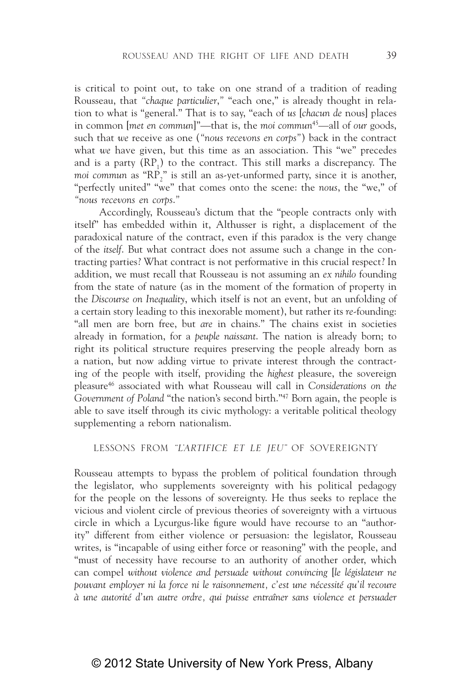is critical to point out, to take on one strand of a tradition of reading Rousseau, that "chaque particulier," "each one," is already thought in relation to what is "general." That is to say, "each of *us* [*chacun de* nous] places in common [*met en commun*]"—that is, the *moi commun*45—all of *our* goods, such that *we* receive as one (*"nous recevons en corps"*) back in the contract what *we* have given, but this time as an association. This "we" precedes and is a party  $(RP_1)$  to the contract. This still marks a discrepancy. The *moi commun* as "RP<sub>2</sub>" is still an as-yet-unformed party, since it is another, "perfectly united" "we" that comes onto the scene: the *nous*, the "we," of *"nous recevons en corps*.*"*

Accordingly, Rousseau's dictum that the "people contracts only with itself" has embedded within it, Althusser is right, a displacement of the paradoxical nature of the contract, even if this paradox is the very change of the *itself*. But what contract does not assume such a change in the con‑ tracting parties? What contract is not performative in this crucial respect? In addition, we must recall that Rousseau is not assuming an *ex nihilo* founding from the state of nature (as in the moment of the formation of property in the *Discourse on Inequality*, which itself is not an event, but an unfolding of a certain story leading to this inexorable moment), but rather its *re‑*founding: "all men are born free, but *are* in chains." The chains exist in societies already in formation, for a *peuple naissant*. The nation is already born; to right its political structure requires preserving the people already born as a nation, but now adding virtue to private interest through the contracting of the people with itself, providing the *highest* pleasure, the sovereign pleasure46 associated with what Rousseau will call in *Considerations on the Government of Poland* "the nation's second birth."47 Born again, the people is able to save itself through its civic mythology: a veritable political theology supplementing a reborn nationalism.

#### Lessons from "L'artifice et le jeu" of Sovereignty

Rousseau attempts to bypass the problem of political foundation through the legislator, who supplements sovereignty with his political pedagogy for the people on the lessons of sovereignty. He thus seeks to replace the vicious and violent circle of previous theories of sovereignty with a virtuous circle in which a Lycurgus-like figure would have recourse to an "authority" different from either violence or persuasion: the legislator, Rousseau writes, is "incapable of using either force or reasoning" with the people, and "must of necessity have recourse to an authority of another order, which can compel *without violence and persuade without convincing* [*le législateur ne pouvant employer ni la force ni le raisonnement, c'est une nécessité qu'il recoure à une autorité d'un autre ordre, qui puisse entraîner sans violence et persuader*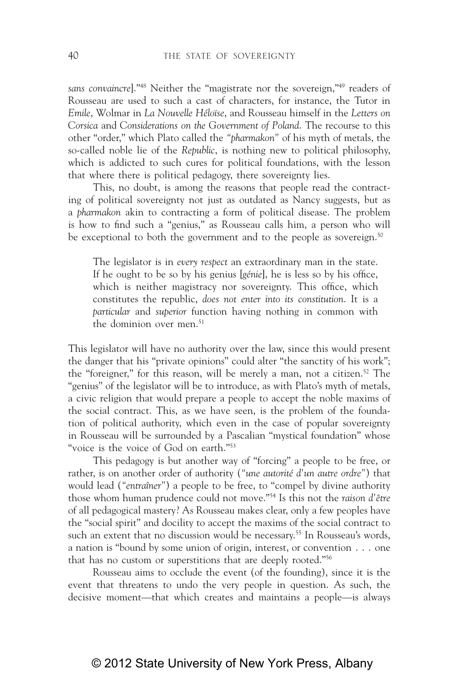*sans convaincre*]."48 Neither the "magistrate nor the sovereign,"49 readers of Rousseau are used to such a cast of characters, for instance, the Tutor in *Emile*, Wolmar in *La Nouvelle Héloïse*, and Rousseau himself in the *Letters on Corsica* and *Considerations on the Government of Poland*. The recourse to this other "order," which Plato called the *"pharmakon"* of his myth of metals, the so-called noble lie of the *Republic*, is nothing new to political philosophy, which is addicted to such cures for political foundations, with the lesson that where there is political pedagogy, there sovereignty lies.

This, no doubt, is among the reasons that people read the contracting of political sovereignty not just as outdated as Nancy suggests, but as a *pharmakon* akin to contracting a form of political disease. The problem is how to find such a "genius," as Rousseau calls him, a person who will be exceptional to both the government and to the people as sovereign.<sup>50</sup>

The legislator is in *every respect* an extraordinary man in the state. If he ought to be so by his genius [*génie*], he is less so by his office, which is neither magistracy nor sovereignty. This office, which constitutes the republic, *does not enter into its constitution*. It is a *particular* and *superior* function having nothing in common with the dominion over men.<sup>51</sup>

This legislator will have no authority over the law, since this would present the danger that his "private opinions" could alter "the sanctity of his work"; the "foreigner," for this reason, will be merely a man, not a citizen.<sup>52</sup> The "genius" of the legislator will be to introduce, as with Plato's myth of metals, a civic religion that would prepare a people to accept the noble maxims of the social contract. This, as we have seen, is the problem of the foundation of political authority, which even in the case of popular sovereignty in Rousseau will be surrounded by a Pascalian "mystical foundation" whose "voice is the voice of God on earth."53

This pedagogy is but another way of "forcing" a people to be free, or rather, is on another order of authority (*"une autorité d'un autre ordre"*) that would lead (*"entraîner"*) a people to be free, to "compel by divine authority those whom human prudence could not move."54 Is this not the *raison d'être* of all pedagogical mastery? As Rousseau makes clear, only a few peoples have the "social spirit" and docility to accept the maxims of the social contract to such an extent that no discussion would be necessary.<sup>55</sup> In Rousseau's words, a nation is "bound by some union of origin, interest, or convention . . . one that has no custom or superstitions that are deeply rooted."56

Rousseau aims to occlude the event (of the founding), since it is the event that threatens to undo the very people in question. As such, the decisive moment—that which creates and maintains a people—is always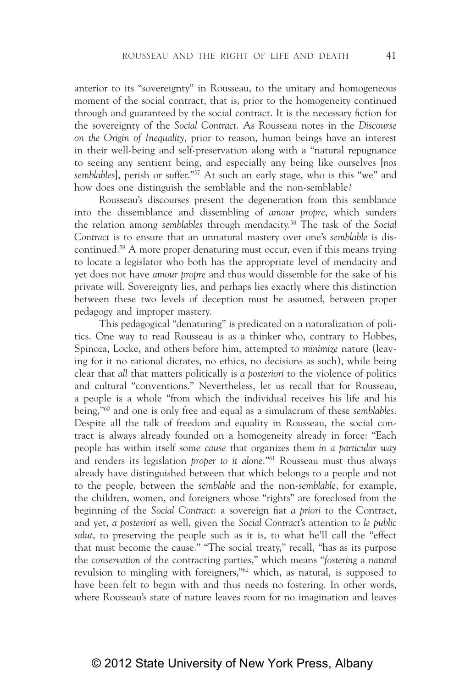anterior to its "sovereignty" in Rousseau, to the unitary and homogeneous moment of the social contract, that is, prior to the homogeneity continued through and guaranteed by the social contract. It is the necessary fiction for the sovereignty of the *Social Contract*. As Rousseau notes in the *Discourse on the Origin of Inequality*, prior to reason, human beings have an interest in their well-being and self-preservation along with a "natural repugnance" to seeing any sentient being, and especially any being like ourselves [*nos semblables*], perish or suffer."57 At such an early stage, who is this "we" and how does one distinguish the semblable and the non-semblable?

Rousseau's discourses present the degeneration from this semblance into the dissemblance and dissembling of *amour propre*, which sunders the relation among *semblables* through mendacity.58 The task of the *Social Contract* is to ensure that an unnatural mastery over one's *semblable* is dis‑ continued.59 A more proper denaturing must occur, even if this means trying to locate a legislator who both has the appropriate level of mendacity and yet does not have *amour propre* and thus would dissemble for the sake of his private will. Sovereignty lies, and perhaps lies exactly where this distinction between these two levels of deception must be assumed, between proper pedagogy and improper mastery.

This pedagogical "denaturing" is predicated on a naturalization of politics. One way to read Rousseau is as a thinker who, contrary to Hobbes, Spinoza, Locke, and others before him, attempted to *minimize* nature (leav‑ ing for it no rational dictates, no ethics, no decisions as such), while being clear that *all* that matters politically is *a posteriori* to the violence of politics and cultural "conventions." Nevertheless, let us recall that for Rousseau, a people is a whole "from which the individual receives his life and his being,"60 and one is only free and equal as a simulacrum of these *semblables*. Despite all the talk of freedom and equality in Rousseau, the social contract is always already founded on a homogeneity already in force: "Each people has within itself some *cause* that organizes them *in a particular way* and renders its legislation *proper to it alone*."61 Rousseau must thus always already have distinguished between that which belongs to a people and not to the people, between the *semblable* and the non‑*semblable*, for example, the children, women, and foreigners whose "rights" are foreclosed from the beginning of the *Social Contract*: a sovereign fiat *a priori* to the Contract, and yet, *a posteriori* as well, given the *Social Contract*'s attention to *le public salut*, to preserving the people such as it is, to what he'll call the "effect that must become the cause." "The social treaty," recall, "has as its purpose the *conservation* of the contracting parties," which means "*fostering* a *natural* revulsion to mingling with foreigners,"62 which, as natural, is supposed to have been felt to begin with and thus needs no fostering. In other words, where Rousseau's state of nature leaves room for no imagination and leaves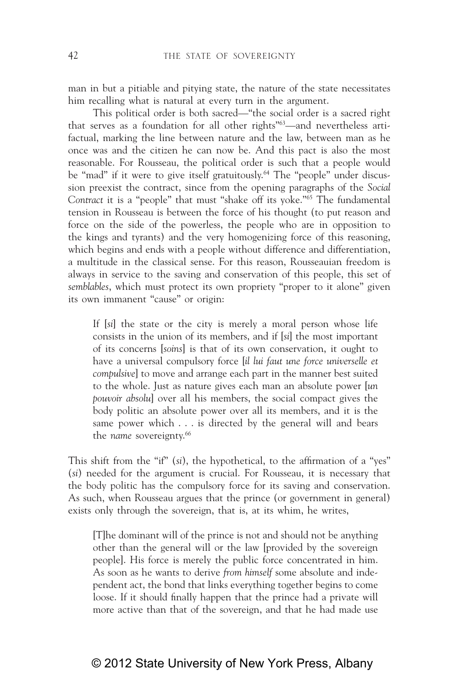man in but a pitiable and pitying state, the nature of the state necessitates him recalling what is natural at every turn in the argument.

This political order is both sacred—"the social order is a sacred right that serves as a foundation for all other rights"<sup>63</sup>—and nevertheless artifactual, marking the line between nature and the law, between man as he once was and the citizen he can now be. And this pact is also the most reasonable. For Rousseau, the political order is such that a people would be "mad" if it were to give itself gratuitously.<sup>64</sup> The "people" under discussion preexist the contract, since from the opening paragraphs of the *Social Contract* it is a "people" that must "shake off its yoke."65 The fundamental tension in Rousseau is between the force of his thought (to put reason and force on the side of the powerless, the people who are in opposition to the kings and tyrants) and the very homogenizing force of this reasoning, which begins and ends with a people without difference and differentiation, a multitude in the classical sense. For this reason, Rousseauian freedom is always in service to the saving and conservation of this people, this set of *semblables*, which must protect its own propriety "proper to it alone" given its own immanent "cause" or origin:

If [*si*] the state or the city is merely a moral person whose life consists in the union of its members, and if [*si*] the most important of its concerns [*soins*] is that of its own conservation, it ought to have a universal compulsory force [*il lui faut une force universelle et compulsive*] to move and arrange each part in the manner best suited to the whole. Just as nature gives each man an absolute power [*un pouvoir absolu*] over all his members, the social compact gives the body politic an absolute power over all its members, and it is the same power which . . . is directed by the general will and bears the *name* sovereignty.<sup>66</sup>

This shift from the "if" (*si*), the hypothetical, to the affirmation of a "yes" (*si*) needed for the argument is crucial. For Rousseau, it is necessary that the body politic has the compulsory force for its saving and conservation. As such, when Rousseau argues that the prince (or government in general) exists only through the sovereign, that is, at its whim, he writes,

[T]he dominant will of the prince is not and should not be anything other than the general will or the law [provided by the sovereign people]. His force is merely the public force concentrated in him. As soon as he wants to derive *from himself* some absolute and independent act, the bond that links everything together begins to come loose. If it should finally happen that the prince had a private will more active than that of the sovereign, and that he had made use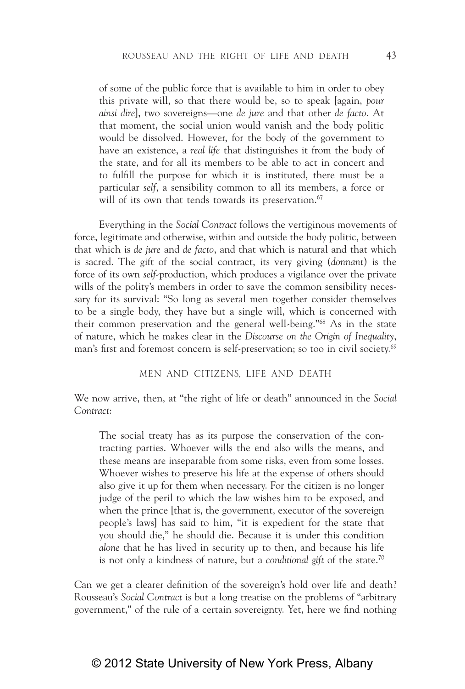of some of the public force that is available to him in order to obey this private will, so that there would be, so to speak [again, *pour ainsi dire*], two sovereigns—one *de jure* and that other *de facto*. At that moment, the social union would vanish and the body politic would be dissolved. However, for the body of the government to have an existence, a *real life* that distinguishes it from the body of the state, and for all its members to be able to act in concert and to fulfill the purpose for which it is instituted, there must be a particular *self*, a sensibility common to all its members, a force or will of its own that tends towards its preservation.<sup>67</sup>

Everything in the *Social Contract* follows the vertiginous movements of force, legitimate and otherwise, within and outside the body politic, between that which is *de jure* and *de facto*, and that which is natural and that which is sacred. The gift of the social contract, its very giving (*donnant*) is the force of its own *self*‑production, which produces a vigilance over the private wills of the polity's members in order to save the common sensibility necessary for its survival: "So long as several men together consider themselves to be a single body, they have but a single will, which is concerned with their common preservation and the general well-being."<sup>68</sup> As in the state of nature, which he makes clear in the *Discourse on the Origin of Inequality*, man's first and foremost concern is self-preservation; so too in civil society.<sup>69</sup>

#### Men and Citizens, Life and Death

We now arrive, then, at "the right of life or death" announced in the *Social Contract*:

The social treaty has as its purpose the conservation of the contracting parties. Whoever wills the end also wills the means, and these means are inseparable from some risks, even from some losses. Whoever wishes to preserve his life at the expense of others should also give it up for them when necessary. For the citizen is no longer judge of the peril to which the law wishes him to be exposed, and when the prince [that is, the government, executor of the sovereign people's laws] has said to him, "it is expedient for the state that you should die," he should die. Because it is under this condition *alone* that he has lived in security up to then, and because his life is not only a kindness of nature, but a *conditional gift* of the state.70

Can we get a clearer definition of the sovereign's hold over life and death? Rousseau's *Social Contract* is but a long treatise on the problems of "arbitrary government," of the rule of a certain sovereignty. Yet, here we find nothing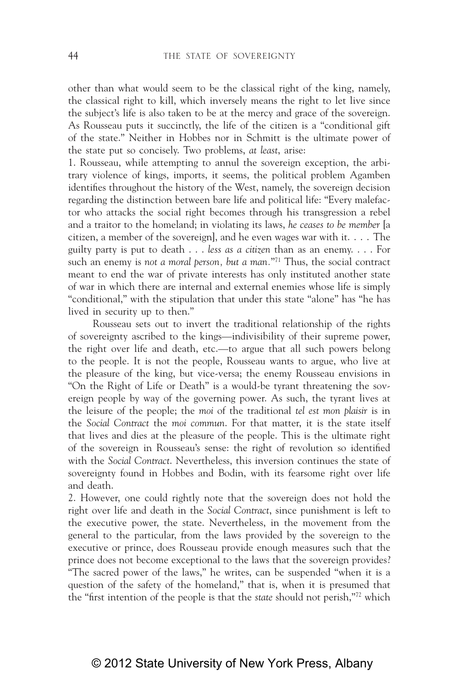other than what would seem to be the classical right of the king, namely, the classical right to kill, which inversely means the right to let live since the subject's life is also taken to be at the mercy and grace of the sovereign. As Rousseau puts it succinctly, the life of the citizen is a "conditional gift of the state." Neither in Hobbes nor in Schmitt is the ultimate power of the state put so concisely. Two problems, *at least*, arise:

1. Rousseau, while attempting to annul the sovereign exception, the arbitrary violence of kings, imports, it seems, the political problem Agamben identifies throughout the history of the West, namely, the sovereign decision regarding the distinction between bare life and political life: "Every malefactor who attacks the social right becomes through his transgression a rebel and a traitor to the homeland; in violating its laws, *he ceases to be member* [a citizen, a member of the sovereign], and he even wages war with it. . . . The guilty party is put to death . . . *less as a citizen* than as an enemy. . . . For such an enemy is *not a moral person, but a man.*"71 Thus, the social contract meant to end the war of private interests has only instituted another state of war in which there are internal and external enemies whose life is simply "conditional," with the stipulation that under this state "alone" has "he has lived in security up to then."

Rousseau sets out to invert the traditional relationship of the rights of sovereignty ascribed to the kings—indivisibility of their supreme power, the right over life and death, etc.—to argue that all such powers belong to the people. It is not the people, Rousseau wants to argue, who live at the pleasure of the king, but vice-versa; the enemy Rousseau envisions in "On the Right of Life or Death" is a would-be tyrant threatening the sovereign people by way of the governing power. As such, the tyrant lives at the leisure of the people; the *moi* of the traditional *tel est mon plaisir* is in the *Social Contract* the *moi commun*. For that matter, it is the state itself that lives and dies at the pleasure of the people. This is the ultimate right of the sovereign in Rousseau's sense: the right of revolution so identified with the *Social Contract*. Nevertheless, this inversion continues the state of sovereignty found in Hobbes and Bodin, with its fearsome right over life and death.

2. However, one could rightly note that the sovereign does not hold the right over life and death in the *Social Contract*, since punishment is left to the executive power, the state. Nevertheless, in the movement from the general to the particular, from the laws provided by the sovereign to the executive or prince, does Rousseau provide enough measures such that the prince does not become exceptional to the laws that the sovereign provides? "The sacred power of the laws," he writes, can be suspended "when it is a question of the safety of the homeland," that is, when it is presumed that the "first intention of the people is that the *state* should not perish,"72 which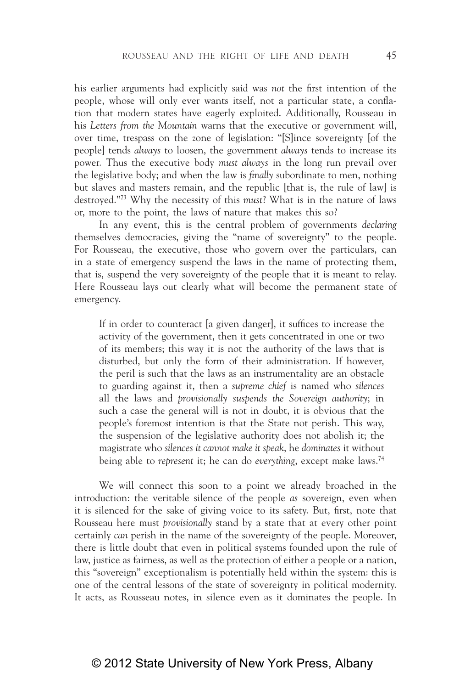his earlier arguments had explicitly said was *not* the first intention of the people, whose will only ever wants itself, not a particular state, a conflation that modern states have eagerly exploited. Additionally, Rousseau in his *Letters from the Mountain* warns that the executive or government will, over time, trespass on the zone of legislation: "[S]ince sovereignty [of the people] tends *always* to loosen, the government *always* tends to increase its power. Thus the executive body *must always* in the long run prevail over the legislative body; and when the law is *finally* subordinate to men, nothing but slaves and masters remain, and the republic [that is, the rule of law] is destroyed."73 Why the necessity of this *must*? What is in the nature of laws or, more to the point, the laws of nature that makes this so?

In any event, this is the central problem of governments *declaring* themselves democracies, giving the "name of sovereignty" to the people. For Rousseau, the executive, those who govern over the particulars, can in a state of emergency suspend the laws in the name of protecting them, that is, suspend the very sovereignty of the people that it is meant to relay. Here Rousseau lays out clearly what will become the permanent state of emergency.

If in order to counteract [a given danger], it suffices to increase the activity of the government, then it gets concentrated in one or two of its members; this way it is not the authority of the laws that is disturbed, but only the form of their administration. If however, the peril is such that the laws as an instrumentality are an obstacle to guarding against it, then a *supreme chief* is named who *silences* all the laws and *provisionally suspends the Sovereign authority*; in such a case the general will is not in doubt, it is obvious that the people's foremost intention is that the State not perish. This way, the suspension of the legislative authority does not abolish it; the magistrate who *silences it cannot make it speak*, he *dominates* it without being able to *represent* it; he can do *everything*, except make laws.74

We will connect this soon to a point we already broached in the introduction: the veritable silence of the people *as* sovereign, even when it is silenced for the sake of giving voice to its safety. But, first, note that Rousseau here must *provisionally* stand by a state that at every other point certainly *can* perish in the name of the sovereignty of the people. Moreover, there is little doubt that even in political systems founded upon the rule of law, justice as fairness, as well as the protection of either a people or a nation, this "sovereign" exceptionalism is potentially held within the system: this is one of the central lessons of the state of sovereignty in political modernity. It acts, as Rousseau notes, in silence even as it dominates the people. In